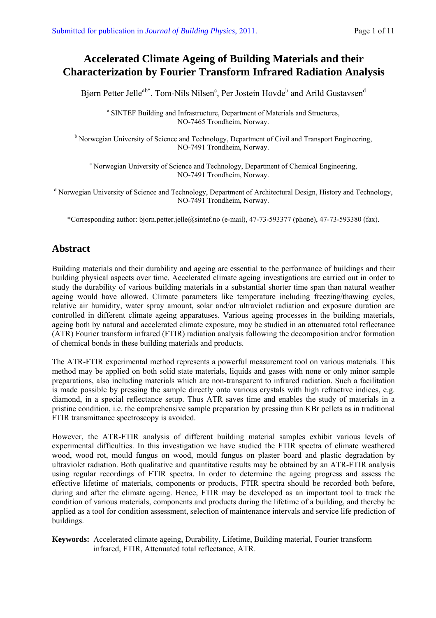# **Accelerated Climate Ageing of Building Materials and their Characterization by Fourier Transform Infrared Radiation Analysis**

Bjørn Petter Jelle<sup>ab\*</sup>, Tom-Nils Nilsen<sup>c</sup>, Per Jostein Hovde<sup>b</sup> and Arild Gustavsen<sup>d</sup>

<sup>a</sup> SINTEF Building and Infrastructure, Department of Materials and Structures, NO-7465 Trondheim, Norway.

<sup>b</sup> Norwegian University of Science and Technology, Department of Civil and Transport Engineering, NO-7491 Trondheim, Norway.

<sup>c</sup> Norwegian University of Science and Technology, Department of Chemical Engineering, NO-7491 Trondheim, Norway.

<sup>d</sup> Norwegian University of Science and Technology, Department of Architectural Design, History and Technology, NO-7491 Trondheim, Norway.

\*Corresponding author: bjorn.petter.jelle@sintef.no (e-mail), 47-73-593377 (phone), 47-73-593380 (fax).

## **Abstract**

Building materials and their durability and ageing are essential to the performance of buildings and their building physical aspects over time. Accelerated climate ageing investigations are carried out in order to study the durability of various building materials in a substantial shorter time span than natural weather ageing would have allowed. Climate parameters like temperature including freezing/thawing cycles, relative air humidity, water spray amount, solar and/or ultraviolet radiation and exposure duration are controlled in different climate ageing apparatuses. Various ageing processes in the building materials, ageing both by natural and accelerated climate exposure, may be studied in an attenuated total reflectance (ATR) Fourier transform infrared (FTIR) radiation analysis following the decomposition and/or formation of chemical bonds in these building materials and products.

The ATR-FTIR experimental method represents a powerful measurement tool on various materials. This method may be applied on both solid state materials, liquids and gases with none or only minor sample preparations, also including materials which are non-transparent to infrared radiation. Such a facilitation is made possible by pressing the sample directly onto various crystals with high refractive indices, e.g. diamond, in a special reflectance setup. Thus ATR saves time and enables the study of materials in a pristine condition, i.e. the comprehensive sample preparation by pressing thin KBr pellets as in traditional FTIR transmittance spectroscopy is avoided.

However, the ATR-FTIR analysis of different building material samples exhibit various levels of experimental difficulties. In this investigation we have studied the FTIR spectra of climate weathered wood, wood rot, mould fungus on wood, mould fungus on plaster board and plastic degradation by ultraviolet radiation. Both qualitative and quantitative results may be obtained by an ATR-FTIR analysis using regular recordings of FTIR spectra. In order to determine the ageing progress and assess the effective lifetime of materials, components or products, FTIR spectra should be recorded both before, during and after the climate ageing. Hence, FTIR may be developed as an important tool to track the condition of various materials, components and products during the lifetime of a building, and thereby be applied as a tool for condition assessment, selection of maintenance intervals and service life prediction of buildings.

**Keywords:** Accelerated climate ageing, Durability, Lifetime, Building material, Fourier transform infrared, FTIR, Attenuated total reflectance, ATR.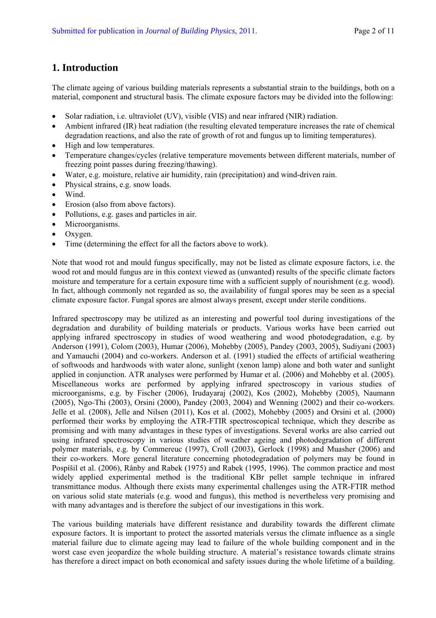### **1. Introduction**

The climate ageing of various building materials represents a substantial strain to the buildings, both on a material, component and structural basis. The climate exposure factors may be divided into the following:

- Solar radiation, i.e. ultraviolet (UV), visible (VIS) and near infrared (NIR) radiation.
- Ambient infrared (IR) heat radiation (the resulting elevated temperature increases the rate of chemical degradation reactions, and also the rate of growth of rot and fungus up to limiting temperatures).
- High and low temperatures.
- Temperature changes/cycles (relative temperature movements between different materials, number of freezing point passes during freezing/thawing).
- Water, e.g. moisture, relative air humidity, rain (precipitation) and wind-driven rain.
- Physical strains, e.g. snow loads.
- Wind.
- Erosion (also from above factors).
- Pollutions, e.g. gases and particles in air.
- Microorganisms.
- Oxygen.
- Time (determining the effect for all the factors above to work).

Note that wood rot and mould fungus specifically, may not be listed as climate exposure factors, i.e. the wood rot and mould fungus are in this context viewed as (unwanted) results of the specific climate factors moisture and temperature for a certain exposure time with a sufficient supply of nourishment (e.g. wood). In fact, although commonly not regarded as so, the availability of fungal spores may be seen as a special climate exposure factor. Fungal spores are almost always present, except under sterile conditions.

Infrared spectroscopy may be utilized as an interesting and powerful tool during investigations of the degradation and durability of building materials or products. Various works have been carried out applying infrared spectroscopy in studies of wood weathering and wood photodegradation, e.g. by Anderson (1991), Colom (2003), Humar (2006), Mohebby (2005), Pandey (2003, 2005), Sudiyani (2003) and Yamauchi (2004) and co-workers. Anderson et al. (1991) studied the effects of artificial weathering of softwoods and hardwoods with water alone, sunlight (xenon lamp) alone and both water and sunlight applied in conjunction. ATR analyses were performed by Humar et al. (2006) and Mohebby et al. (2005). Miscellaneous works are performed by applying infrared spectroscopy in various studies of microorganisms, e.g. by Fischer (2006), Irudayaraj (2002), Kos (2002), Mohebby (2005), Naumann (2005), Ngo-Thi (2003), Orsini (2000), Pandey (2003, 2004) and Wenning (2002) and their co-workers. Jelle et al. (2008), Jelle and Nilsen (2011), Kos et al. (2002), Mohebby (2005) and Orsini et al. (2000) performed their works by employing the ATR-FTIR spectroscopical technique, which they describe as promising and with many advantages in these types of investigations. Several works are also carried out using infrared spectroscopy in various studies of weather ageing and photodegradation of different polymer materials, e.g. by Commereuc (1997), Croll (2003), Gerlock (1998) and Muasher (2006) and their co-workers. More general literature concerning photodegradation of polymers may be found in Pospíšil et al. (2006), Rånby and Rabek (1975) and Rabek (1995, 1996). The common practice and most widely applied experimental method is the traditional KBr pellet sample technique in infrared transmittance modus. Although there exists many experimental challenges using the ATR-FTIR method on various solid state materials (e.g. wood and fungus), this method is nevertheless very promising and with many advantages and is therefore the subject of our investigations in this work.

The various building materials have different resistance and durability towards the different climate exposure factors. It is important to protect the assorted materials versus the climate influence as a single material failure due to climate ageing may lead to failure of the whole building component and in the worst case even jeopardize the whole building structure. A material's resistance towards climate strains has therefore a direct impact on both economical and safety issues during the whole lifetime of a building.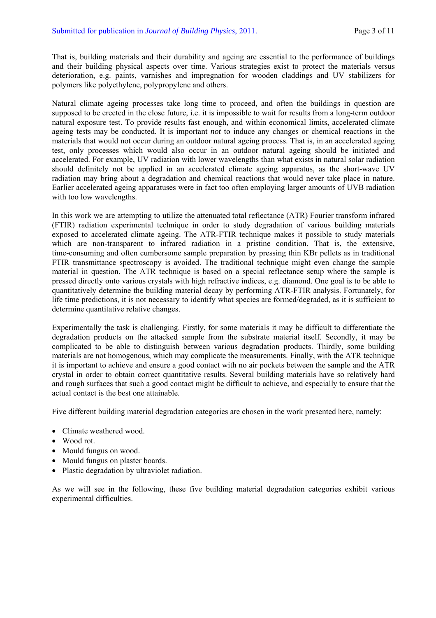That is, building materials and their durability and ageing are essential to the performance of buildings and their building physical aspects over time. Various strategies exist to protect the materials versus deterioration, e.g. paints, varnishes and impregnation for wooden claddings and UV stabilizers for polymers like polyethylene, polypropylene and others.

Natural climate ageing processes take long time to proceed, and often the buildings in question are supposed to be erected in the close future, i.e. it is impossible to wait for results from a long-term outdoor natural exposure test. To provide results fast enough, and within economical limits, accelerated climate ageing tests may be conducted. It is important *not* to induce any changes or chemical reactions in the materials that would not occur during an outdoor natural ageing process. That is, in an accelerated ageing test, only processes which would also occur in an outdoor natural ageing should be initiated and accelerated. For example, UV radiation with lower wavelengths than what exists in natural solar radiation should definitely not be applied in an accelerated climate ageing apparatus, as the short-wave UV radiation may bring about a degradation and chemical reactions that would never take place in nature. Earlier accelerated ageing apparatuses were in fact too often employing larger amounts of UVB radiation with too low wavelengths.

In this work we are attempting to utilize the attenuated total reflectance (ATR) Fourier transform infrared (FTIR) radiation experimental technique in order to study degradation of various building materials exposed to accelerated climate ageing. The ATR-FTIR technique makes it possible to study materials which are non-transparent to infrared radiation in a pristine condition. That is, the extensive, time-consuming and often cumbersome sample preparation by pressing thin KBr pellets as in traditional FTIR transmittance spectroscopy is avoided. The traditional technique might even change the sample material in question. The ATR technique is based on a special reflectance setup where the sample is pressed directly onto various crystals with high refractive indices, e.g. diamond. One goal is to be able to quantitatively determine the building material decay by performing ATR-FTIR analysis. Fortunately, for life time predictions, it is not necessary to identify what species are formed/degraded, as it is sufficient to determine quantitative relative changes.

Experimentally the task is challenging. Firstly, for some materials it may be difficult to differentiate the degradation products on the attacked sample from the substrate material itself. Secondly, it may be complicated to be able to distinguish between various degradation products. Thirdly, some building materials are not homogenous, which may complicate the measurements. Finally, with the ATR technique it is important to achieve and ensure a good contact with no air pockets between the sample and the ATR crystal in order to obtain correct quantitative results. Several building materials have so relatively hard and rough surfaces that such a good contact might be difficult to achieve, and especially to ensure that the actual contact is the best one attainable.

Five different building material degradation categories are chosen in the work presented here, namely:

- Climate weathered wood.
- Wood rot.
- Mould fungus on wood.
- Mould fungus on plaster boards.
- Plastic degradation by ultraviolet radiation.

As we will see in the following, these five building material degradation categories exhibit various experimental difficulties.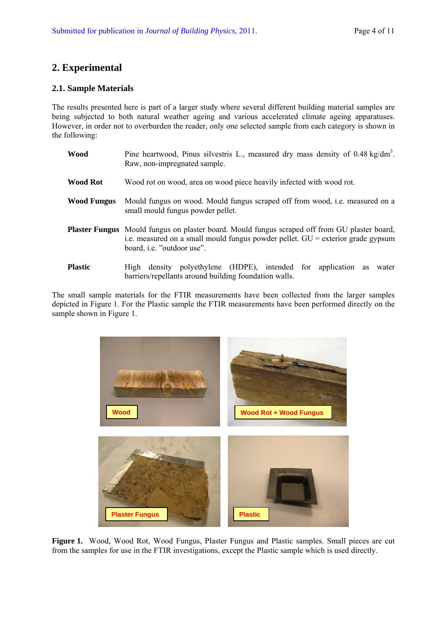## **2. Experimental**

#### **2.1. Sample Materials**

The results presented here is part of a larger study where several different building material samples are being subjected to both natural weather ageing and various accelerated climate ageing apparatuses. However, in order not to overburden the reader, only one selected sample from each category is shown in the following:

- Wood Pine heartwood, Pinus silvestris L., measured dry mass density of 0.48 kg/dm<sup>3</sup>. Raw, non-impregnated sample.
- **Wood Rot** Wood rot on wood, area on wood piece heavily infected with wood rot.
- **Wood Fungus** Mould fungus on wood. Mould fungus scraped off from wood, i.e. measured on a small mould fungus powder pellet.
- **Plaster Fungus** Mould fungus on plaster board. Mould fungus scraped off from GU plaster board, i.e. measured on a small mould fungus powder pellet. GU = exterior grade gypsum board, i.e. "outdoor use".
- **Plastic High density polyethylene** (HDPE), intended for application as water barriers/repellants around building foundation walls.

The small sample materials for the FTIR measurements have been collected from the larger samples depicted in Figure 1. For the Plastic sample the FTIR measurements have been performed directly on the sample shown in Figure 1.



Figure 1. Wood, Wood Rot, Wood Fungus, Plaster Fungus and Plastic samples. Small pieces are cut from the samples for use in the FTIR investigations, except the Plastic sample which is used directly.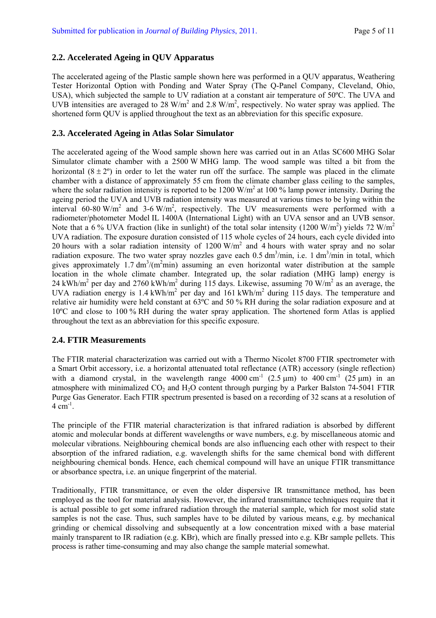#### **2.2. Accelerated Ageing in QUV Apparatus**

The accelerated ageing of the Plastic sample shown here was performed in a QUV apparatus, Weathering Tester Horizontal Option with Ponding and Water Spray (The Q-Panel Company, Cleveland, Ohio, USA), which subjected the sample to UV radiation at a constant air temperature of 50ºC. The UVA and UVB intensities are averaged to 28 W/m<sup>2</sup> and 2.8 W/m<sup>2</sup>, respectively. No water spray was applied. The shortened form QUV is applied throughout the text as an abbreviation for this specific exposure.

#### **2.3. Accelerated Ageing in Atlas Solar Simulator**

The accelerated ageing of the Wood sample shown here was carried out in an Atlas SC600 MHG Solar Simulator climate chamber with a 2500 W MHG lamp. The wood sample was tilted a bit from the horizontal  $(8 \pm 2^{\circ})$  in order to let the water run off the surface. The sample was placed in the climate chamber with a distance of approximately 55 cm from the climate chamber glass ceiling to the samples, where the solar radiation intensity is reported to be 1200 W/m<sup>2</sup> at 100 % lamp power intensity. During the ageing period the UVA and UVB radiation intensity was measured at various times to be lying within the interval 60-80 W/m<sup>2</sup> and 3-6 W/m<sup>2</sup>, respectively. The UV measurements were performed with a radiometer/photometer Model IL 1400A (International Light) with an UVA sensor and an UVB sensor. Note that a 6% UVA fraction (like in sunlight) of the total solar intensity (1200 W/m<sup>2</sup>) yields 72 W/m<sup>2</sup> UVA radiation. The exposure duration consisted of 115 whole cycles of 24 hours, each cycle divided into 20 hours with a solar radiation intensity of  $1200 \text{ W/m}^2$  and 4 hours with water spray and no solar radiation exposure. The two water spray nozzles gave each  $0.5 \text{ dm}^3/\text{min}$ , i.e. 1 dm<sup>3</sup>/min in total, which gives approximately 1.7  $\text{dm}^3/\text{(m}^2\text{min})$  assuming an even horizontal water distribution at the sample location in the whole climate chamber. Integrated up, the solar radiation (MHG lamp) energy is 24 kWh/m<sup>2</sup> per day and 2760 kWh/m<sup>2</sup> during 115 days. Likewise, assuming 70 W/m<sup>2</sup> as an average, the UVA radiation energy is 1.4 kWh/m<sup>2</sup> per day and 161 kWh/m<sup>2</sup> during 115 days. The temperature and relative air humidity were held constant at 63ºC and 50 % RH during the solar radiation exposure and at 10ºC and close to 100 % RH during the water spray application. The shortened form Atlas is applied throughout the text as an abbreviation for this specific exposure.

#### **2.4. FTIR Measurements**

The FTIR material characterization was carried out with a Thermo Nicolet 8700 FTIR spectrometer with a Smart Orbit accessory, i.e. a horizontal attenuated total reflectance (ATR) accessory (single reflection) with a diamond crystal, in the wavelength range  $4000 \text{ cm}^{-1}$  (2.5 km) to  $400 \text{ cm}^{-1}$  (25 km) in an atmosphere with minimalized  $CO<sub>2</sub>$  and  $H<sub>2</sub>O$  content through purging by a Parker Balston 74-5041 FTIR Purge Gas Generator. Each FTIR spectrum presented is based on a recording of 32 scans at a resolution of  $4 \text{ cm}^{-1}$ 

The principle of the FTIR material characterization is that infrared radiation is absorbed by different atomic and molecular bonds at different wavelengths or wave numbers, e.g. by miscellaneous atomic and molecular vibrations. Neighbouring chemical bonds are also influencing each other with respect to their absorption of the infrared radiation, e.g. wavelength shifts for the same chemical bond with different neighbouring chemical bonds. Hence, each chemical compound will have an unique FTIR transmittance or absorbance spectra, i.e. an unique fingerprint of the material.

Traditionally, FTIR transmittance, or even the older dispersive IR transmittance method, has been employed as the tool for material analysis. However, the infrared transmittance techniques require that it is actual possible to get some infrared radiation through the material sample, which for most solid state samples is not the case. Thus, such samples have to be diluted by various means, e.g. by mechanical grinding or chemical dissolving and subsequently at a low concentration mixed with a base material mainly transparent to IR radiation (e.g. KBr), which are finally pressed into e.g. KBr sample pellets. This process is rather time-consuming and may also change the sample material somewhat.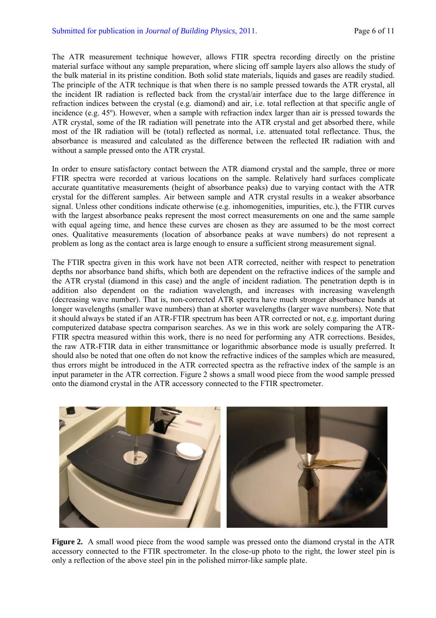The ATR measurement technique however, allows FTIR spectra recording directly on the pristine material surface without any sample preparation, where slicing off sample layers also allows the study of the bulk material in its pristine condition. Both solid state materials, liquids and gases are readily studied. The principle of the ATR technique is that when there is no sample pressed towards the ATR crystal, all the incident IR radiation is reflected back from the crystal/air interface due to the large difference in refraction indices between the crystal (e.g. diamond) and air, i.e. total reflection at that specific angle of incidence (e.g. 45º). However, when a sample with refraction index larger than air is pressed towards the ATR crystal, some of the IR radiation will penetrate into the ATR crystal and get absorbed there, while most of the IR radiation will be (total) reflected as normal, i.e. attenuated total reflectance. Thus, the absorbance is measured and calculated as the difference between the reflected IR radiation with and without a sample pressed onto the ATR crystal.

In order to ensure satisfactory contact between the ATR diamond crystal and the sample, three or more FTIR spectra were recorded at various locations on the sample. Relatively hard surfaces complicate accurate quantitative measurements (height of absorbance peaks) due to varying contact with the ATR crystal for the different samples. Air between sample and ATR crystal results in a weaker absorbance signal. Unless other conditions indicate otherwise (e.g. inhomogenities, impurities, etc.), the FTIR curves with the largest absorbance peaks represent the most correct measurements on one and the same sample with equal ageing time, and hence these curves are chosen as they are assumed to be the most correct ones. Qualitative measurements (location of absorbance peaks at wave numbers) do not represent a problem as long as the contact area is large enough to ensure a sufficient strong measurement signal.

The FTIR spectra given in this work have not been ATR corrected, neither with respect to penetration depths nor absorbance band shifts, which both are dependent on the refractive indices of the sample and the ATR crystal (diamond in this case) and the angle of incident radiation. The penetration depth is in addition also dependent on the radiation wavelength, and increases with increasing wavelength (decreasing wave number). That is, non-corrected ATR spectra have much stronger absorbance bands at longer wavelengths (smaller wave numbers) than at shorter wavelengths (larger wave numbers). Note that it should always be stated if an ATR-FTIR spectrum has been ATR corrected or not, e.g. important during computerized database spectra comparison searches. As we in this work are solely comparing the ATR-FTIR spectra measured within this work, there is no need for performing any ATR corrections. Besides, the raw ATR-FTIR data in either transmittance or logarithmic absorbance mode is usually preferred. It should also be noted that one often do not know the refractive indices of the samples which are measured, thus errors might be introduced in the ATR corrected spectra as the refractive index of the sample is an input parameter in the ATR correction. Figure 2 shows a small wood piece from the wood sample pressed onto the diamond crystal in the ATR accessory connected to the FTIR spectrometer.



**Figure 2.** A small wood piece from the wood sample was pressed onto the diamond crystal in the ATR accessory connected to the FTIR spectrometer. In the close-up photo to the right, the lower steel pin is only a reflection of the above steel pin in the polished mirror-like sample plate.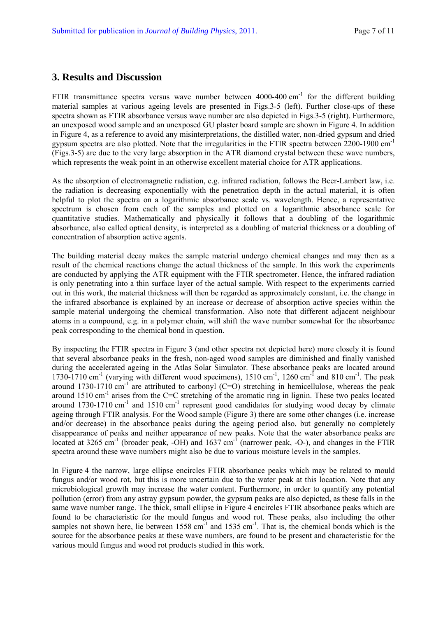### **3. Results and Discussion**

FTIR transmittance spectra versus wave number between  $4000-400$  cm<sup>-1</sup> for the different building material samples at various ageing levels are presented in Figs.3-5 (left). Further close-ups of these spectra shown as FTIR absorbance versus wave number are also depicted in Figs.3-5 (right). Furthermore, an unexposed wood sample and an unexposed GU plaster board sample are shown in Figure 4. In addition in Figure 4, as a reference to avoid any misinterpretations, the distilled water, non-dried gypsum and dried gypsum spectra are also plotted. Note that the irregularities in the FTIR spectra between 2200-1900 cm-1 (Figs.3-5) are due to the very large absorption in the ATR diamond crystal between these wave numbers, which represents the weak point in an otherwise excellent material choice for ATR applications.

As the absorption of electromagnetic radiation, e.g. infrared radiation, follows the Beer-Lambert law, i.e. the radiation is decreasing exponentially with the penetration depth in the actual material, it is often helpful to plot the spectra on a logarithmic absorbance scale vs. wavelength. Hence, a representative spectrum is chosen from each of the samples and plotted on a logarithmic absorbance scale for quantitative studies. Mathematically and physically it follows that a doubling of the logarithmic absorbance, also called optical density, is interpreted as a doubling of material thickness or a doubling of concentration of absorption active agents.

The building material decay makes the sample material undergo chemical changes and may then as a result of the chemical reactions change the actual thickness of the sample. In this work the experiments are conducted by applying the ATR equipment with the FTIR spectrometer. Hence, the infrared radiation is only penetrating into a thin surface layer of the actual sample. With respect to the experiments carried out in this work, the material thickness will then be regarded as approximately constant, i.e. the change in the infrared absorbance is explained by an increase or decrease of absorption active species within the sample material undergoing the chemical transformation. Also note that different adjacent neighbour atoms in a compound, e.g. in a polymer chain, will shift the wave number somewhat for the absorbance peak corresponding to the chemical bond in question.

By inspecting the FTIR spectra in Figure 3 (and other spectra not depicted here) more closely it is found that several absorbance peaks in the fresh, non-aged wood samples are diminished and finally vanished during the accelerated ageing in the Atlas Solar Simulator. These absorbance peaks are located around 1730-1710 cm<sup>-1</sup> (varying with different wood specimens),  $1510 \text{ cm}^{-1}$ ,  $1260 \text{ cm}^{-1}$  and  $810 \text{ cm}^{-1}$ . The peak around 1730-1710 cm<sup>-1</sup> are attributed to carbonyl (C=O) stretching in hemicellulose, whereas the peak around  $1510 \text{ cm}^{-1}$  arises from the C=C stretching of the aromatic ring in lignin. These two peaks located around  $1730-1710$  cm<sup>-1</sup> and  $1510$  cm<sup>-1</sup> represent good candidates for studying wood decay by climate ageing through FTIR analysis. For the Wood sample (Figure 3) there are some other changes (i.e. increase and/or decrease) in the absorbance peaks during the ageing period also, but generally no completely disappearance of peaks and neither appearance of new peaks. Note that the water absorbance peaks are located at  $3265 \text{ cm}^{-1}$  (broader peak,  $\cdot \text{OH}$ ) and  $1637 \text{ cm}^{-1}$  (narrower peak,  $\cdot \text{O}$ -), and changes in the FTIR spectra around these wave numbers might also be due to various moisture levels in the samples.

In Figure 4 the narrow, large ellipse encircles FTIR absorbance peaks which may be related to mould fungus and/or wood rot, but this is more uncertain due to the water peak at this location. Note that any microbiological growth may increase the water content. Furthermore, in order to quantify any potential pollution (error) from any astray gypsum powder, the gypsum peaks are also depicted, as these falls in the same wave number range. The thick, small ellipse in Figure 4 encircles FTIR absorbance peaks which are found to be characteristic for the mould fungus and wood rot. These peaks, also including the other samples not shown here, lie between  $1558 \text{ cm}^{-1}$  and  $1535 \text{ cm}^{-1}$ . That is, the chemical bonds which is the source for the absorbance peaks at these wave numbers, are found to be present and characteristic for the various mould fungus and wood rot products studied in this work.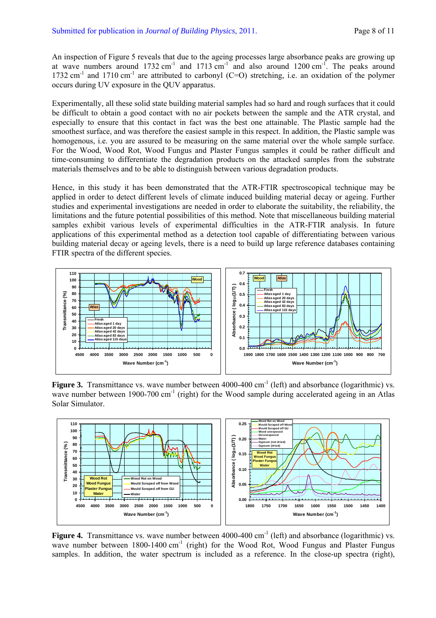An inspection of Figure 5 reveals that due to the ageing processes large absorbance peaks are growing up at wave numbers around  $1732 \text{ cm}^{-1}$  and  $1713 \text{ cm}^{-1}$  and also around  $1200 \text{ cm}^{-1}$ . The peaks around 1732 cm<sup>-1</sup> and 1710 cm<sup>-1</sup> are attributed to carbonyl (C=O) stretching, i.e. an oxidation of the polymer occurs during UV exposure in the QUV apparatus.

Experimentally, all these solid state building material samples had so hard and rough surfaces that it could be difficult to obtain a good contact with no air pockets between the sample and the ATR crystal, and especially to ensure that this contact in fact was the best one attainable. The Plastic sample had the smoothest surface, and was therefore the easiest sample in this respect. In addition, the Plastic sample was homogenous, i.e. you are assured to be measuring on the same material over the whole sample surface. For the Wood, Wood Rot, Wood Fungus and Plaster Fungus samples it could be rather difficult and time-consuming to differentiate the degradation products on the attacked samples from the substrate materials themselves and to be able to distinguish between various degradation products.

Hence, in this study it has been demonstrated that the ATR-FTIR spectroscopical technique may be applied in order to detect different levels of climate induced building material decay or ageing. Further studies and experimental investigations are needed in order to elaborate the suitability, the reliability, the limitations and the future potential possibilities of this method. Note that miscellaneous building material samples exhibit various levels of experimental difficulties in the ATR-FTIR analysis. In future applications of this experimental method as a detection tool capable of differentiating between various building material decay or ageing levels, there is a need to build up large reference databases containing FTIR spectra of the different species.



**Figure 3.** Transmittance vs. wave number between 4000-400 cm<sup>-1</sup> (left) and absorbance (logarithmic) vs. wave number between 1900-700 cm<sup>-1</sup> (right) for the Wood sample during accelerated ageing in an Atlas Solar Simulator.



**Figure 4.** Transmittance vs. wave number between 4000-400 cm<sup>-1</sup> (left) and absorbance (logarithmic) vs. wave number between 1800-1400 cm<sup>-1</sup> (right) for the Wood Rot, Wood Fungus and Plaster Fungus samples. In addition, the water spectrum is included as a reference. In the close-up spectra (right),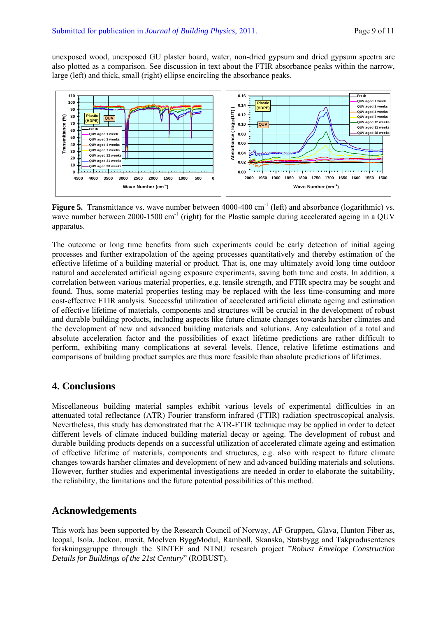unexposed wood, unexposed GU plaster board, water, non-dried gypsum and dried gypsum spectra are also plotted as a comparison. See discussion in text about the FTIR absorbance peaks within the narrow, large (left) and thick, small (right) ellipse encircling the absorbance peaks.



**Figure 5.** Transmittance vs. wave number between 4000-400 cm<sup>-1</sup> (left) and absorbance (logarithmic) vs. wave number between  $2000-1500 \text{ cm}^{-1}$  (right) for the Plastic sample during accelerated ageing in a QUV apparatus.

The outcome or long time benefits from such experiments could be early detection of initial ageing processes and further extrapolation of the ageing processes quantitatively and thereby estimation of the effective lifetime of a building material or product. That is, one may ultimately avoid long time outdoor natural and accelerated artificial ageing exposure experiments, saving both time and costs. In addition, a correlation between various material properties, e.g. tensile strength, and FTIR spectra may be sought and found. Thus, some material properties testing may be replaced with the less time-consuming and more cost-effective FTIR analysis. Successful utilization of accelerated artificial climate ageing and estimation of effective lifetime of materials, components and structures will be crucial in the development of robust and durable building products, including aspects like future climate changes towards harsher climates and the development of new and advanced building materials and solutions. Any calculation of a total and absolute acceleration factor and the possibilities of exact lifetime predictions are rather difficult to perform, exhibiting many complications at several levels. Hence, relative lifetime estimations and comparisons of building product samples are thus more feasible than absolute predictions of lifetimes.

## **4. Conclusions**

Miscellaneous building material samples exhibit various levels of experimental difficulties in an attenuated total reflectance (ATR) Fourier transform infrared (FTIR) radiation spectroscopical analysis. Nevertheless, this study has demonstrated that the ATR-FTIR technique may be applied in order to detect different levels of climate induced building material decay or ageing. The development of robust and durable building products depends on a successful utilization of accelerated climate ageing and estimation of effective lifetime of materials, components and structures, e.g. also with respect to future climate changes towards harsher climates and development of new and advanced building materials and solutions. However, further studies and experimental investigations are needed in order to elaborate the suitability, the reliability, the limitations and the future potential possibilities of this method.

## **Acknowledgements**

This work has been supported by the Research Council of Norway, AF Gruppen, Glava, Hunton Fiber as, Icopal, Isola, Jackon, maxit, Moelven ByggModul, Rambøll, Skanska, Statsbygg and Takprodusentenes forskningsgruppe through the SINTEF and NTNU research project "*Robust Envelope Construction Details for Buildings of the 21st Century*" (ROBUST).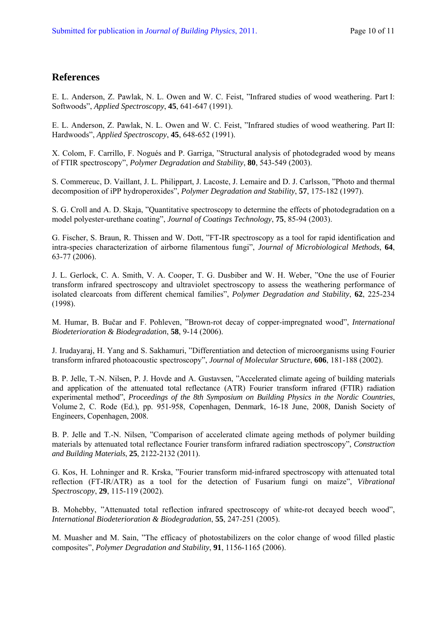### **References**

E. L. Anderson, Z. Pawlak, N. L. Owen and W. C. Feist, "Infrared studies of wood weathering. Part I: Softwoods", *Applied Spectroscopy*, **45**, 641-647 (1991).

E. L. Anderson, Z. Pawlak, N. L. Owen and W. C. Feist, "Infrared studies of wood weathering. Part II: Hardwoods", *Applied Spectroscopy*, **45**, 648-652 (1991).

X. Colom, F. Carrillo, F. Nogués and P. Garriga, "Structural analysis of photodegraded wood by means of FTIR spectroscopy", *Polymer Degradation and Stability*, **80**, 543-549 (2003).

S. Commereuc, D. Vaillant, J. L. Philippart, J. Lacoste, J. Lemaire and D. J. Carlsson, "Photo and thermal decomposition of iPP hydroperoxides", *Polymer Degradation and Stability*, **57**, 175-182 (1997).

S. G. Croll and A. D. Skaja, "Quantitative spectroscopy to determine the effects of photodegradation on a model polyester-urethane coating", *Journal of Coatings Technology*, **75**, 85-94 (2003).

G. Fischer, S. Braun, R. Thissen and W. Dott, "FT-IR spectroscopy as a tool for rapid identification and intra-species characterization of airborne filamentous fungi", *Journal of Microbiological Methods*, **64**, 63-77 (2006).

J. L. Gerlock, C. A. Smith, V. A. Cooper, T. G. Dusbiber and W. H. Weber, "One the use of Fourier transform infrared spectroscopy and ultraviolet spectroscopy to assess the weathering performance of isolated clearcoats from different chemical families", *Polymer Degradation and Stability*, **62**, 225-234 (1998).

M. Humar, B. Bučar and F. Pohleven, "Brown-rot decay of copper-impregnated wood", *International Biodeterioration & Biodegradation*, **58**, 9-14 (2006).

J. Irudayaraj, H. Yang and S. Sakhamuri, "Differentiation and detection of microorganisms using Fourier transform infrared photoacoustic spectroscopy", *Journal of Molecular Structure*, **606**, 181-188 (2002).

B. P. Jelle, T.-N. Nilsen, P. J. Hovde and A. Gustavsen, "Accelerated climate ageing of building materials and application of the attenuated total reflectance (ATR) Fourier transform infrared (FTIR) radiation experimental method", *Proceedings of the 8th Symposium on Building Physics in the Nordic Countries*, Volume 2, C. Rode (Ed.), pp. 951-958, Copenhagen, Denmark, 16-18 June, 2008, Danish Society of Engineers, Copenhagen, 2008.

B. P. Jelle and T.-N. Nilsen, "Comparison of accelerated climate ageing methods of polymer building materials by attenuated total reflectance Fourier transform infrared radiation spectroscopy", *Construction and Building Materials*, **25**, 2122-2132 (2011).

G. Kos, H. Lohninger and R. Krska, "Fourier transform mid-infrared spectroscopy with attenuated total reflection (FT-IR/ATR) as a tool for the detection of Fusarium fungi on maize", *Vibrational Spectroscopy*, **29**, 115-119 (2002).

B. Mohebby, "Attenuated total reflection infrared spectroscopy of white-rot decayed beech wood", *International Biodeterioration & Biodegradation*, **55**, 247-251 (2005).

M. Muasher and M. Sain, "The efficacy of photostabilizers on the color change of wood filled plastic composites", *Polymer Degradation and Stability*, **91**, 1156-1165 (2006).